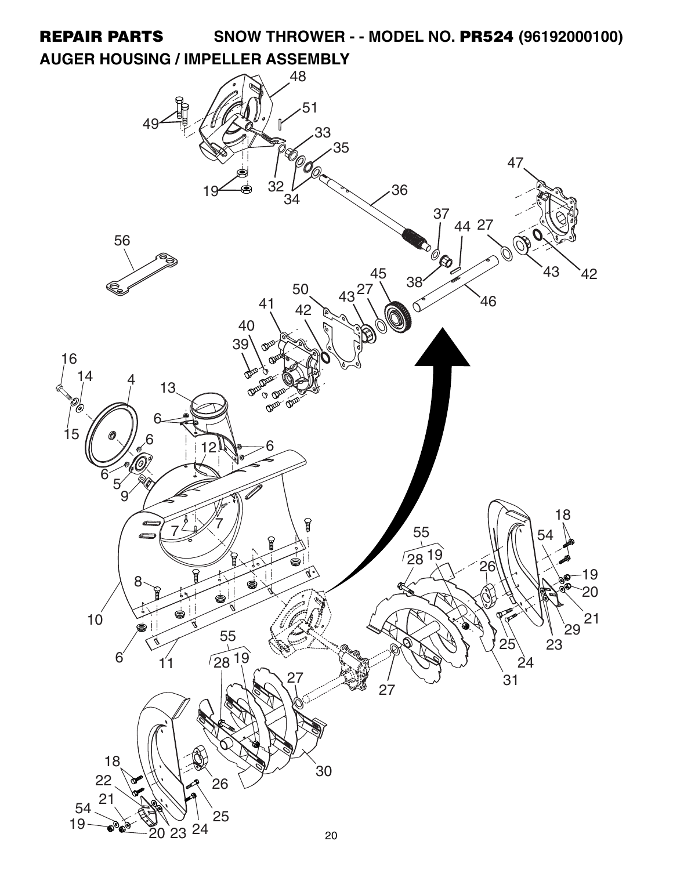**REPAIR PARTS SNOW THROWER - - MODEL NO. PR524 (96192000100) AUGER HOUSING / IMPELLER ASSEMBLY**

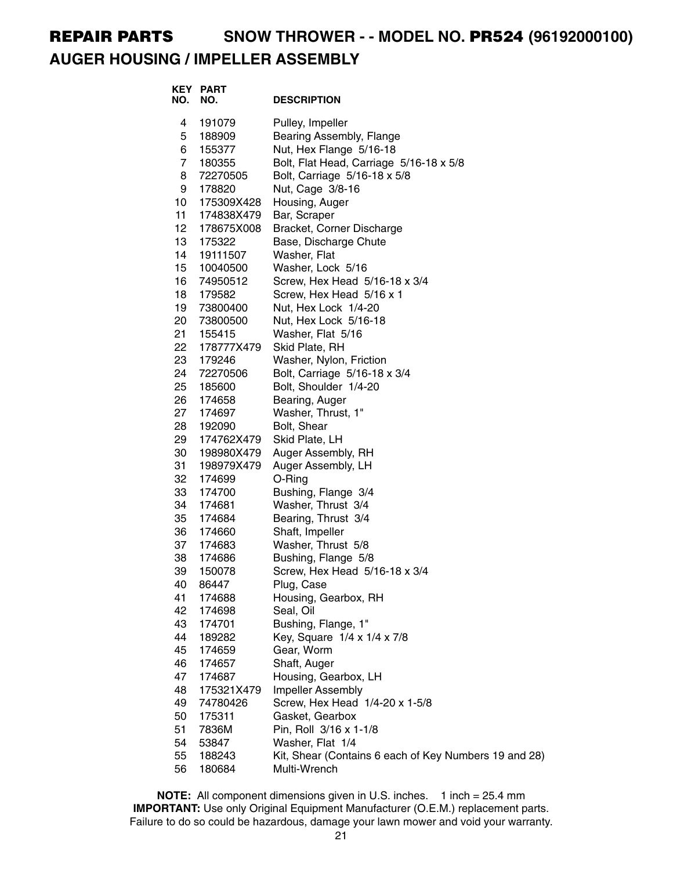# **REPAIR PARTS SNOW THROWER - - MODEL NO. PR524 (96192000100) AUGER HOUSING / IMPELLER ASSEMBLY**

| <b>KEY PART</b><br>NO. | <b>DESCRIPTION</b>                                                                                                                                                                                                                                                                                                                                |
|------------------------|---------------------------------------------------------------------------------------------------------------------------------------------------------------------------------------------------------------------------------------------------------------------------------------------------------------------------------------------------|
| 191079                 | Pulley, Impeller                                                                                                                                                                                                                                                                                                                                  |
| 188909                 | Bearing Assembly, Flange                                                                                                                                                                                                                                                                                                                          |
| 155377                 | Nut, Hex Flange 5/16-18                                                                                                                                                                                                                                                                                                                           |
| 180355                 | Bolt, Flat Head, Carriage 5/16-18 x 5/8                                                                                                                                                                                                                                                                                                           |
| 72270505               | Bolt, Carriage 5/16-18 x 5/8                                                                                                                                                                                                                                                                                                                      |
| 178820                 | Nut, Cage 3/8-16                                                                                                                                                                                                                                                                                                                                  |
|                        | Housing, Auger                                                                                                                                                                                                                                                                                                                                    |
|                        | Bar, Scraper                                                                                                                                                                                                                                                                                                                                      |
|                        | Bracket, Corner Discharge                                                                                                                                                                                                                                                                                                                         |
|                        | Base, Discharge Chute                                                                                                                                                                                                                                                                                                                             |
|                        | Washer, Flat                                                                                                                                                                                                                                                                                                                                      |
|                        | Washer, Lock 5/16                                                                                                                                                                                                                                                                                                                                 |
|                        | Screw, Hex Head 5/16-18 x 3/4                                                                                                                                                                                                                                                                                                                     |
|                        | Screw, Hex Head 5/16 x 1                                                                                                                                                                                                                                                                                                                          |
|                        | Nut, Hex Lock 1/4-20<br>Nut, Hex Lock 5/16-18                                                                                                                                                                                                                                                                                                     |
|                        | Washer, Flat 5/16                                                                                                                                                                                                                                                                                                                                 |
|                        | Skid Plate, RH                                                                                                                                                                                                                                                                                                                                    |
|                        | Washer, Nylon, Friction                                                                                                                                                                                                                                                                                                                           |
|                        | Bolt, Carriage 5/16-18 x 3/4                                                                                                                                                                                                                                                                                                                      |
|                        | Bolt, Shoulder 1/4-20                                                                                                                                                                                                                                                                                                                             |
| 174658                 | Bearing, Auger                                                                                                                                                                                                                                                                                                                                    |
|                        | Washer, Thrust, 1"                                                                                                                                                                                                                                                                                                                                |
| 192090                 | Bolt, Shear                                                                                                                                                                                                                                                                                                                                       |
| 174762X479             | Skid Plate, LH                                                                                                                                                                                                                                                                                                                                    |
| 198980X479             | Auger Assembly, RH                                                                                                                                                                                                                                                                                                                                |
| 198979X479             | Auger Assembly, LH                                                                                                                                                                                                                                                                                                                                |
| 174699                 | O-Ring                                                                                                                                                                                                                                                                                                                                            |
| 174700                 | Bushing, Flange 3/4                                                                                                                                                                                                                                                                                                                               |
|                        | Washer, Thrust 3/4                                                                                                                                                                                                                                                                                                                                |
|                        | Bearing, Thrust 3/4                                                                                                                                                                                                                                                                                                                               |
|                        | Shaft, Impeller                                                                                                                                                                                                                                                                                                                                   |
|                        | Washer, Thrust 5/8                                                                                                                                                                                                                                                                                                                                |
|                        | Bushing, Flange 5/8                                                                                                                                                                                                                                                                                                                               |
|                        | Screw, Hex Head 5/16-18 x 3/4<br>Plug, Case                                                                                                                                                                                                                                                                                                       |
|                        | Housing, Gearbox, RH                                                                                                                                                                                                                                                                                                                              |
|                        | Seal, Oil                                                                                                                                                                                                                                                                                                                                         |
|                        | Bushing, Flange, 1"                                                                                                                                                                                                                                                                                                                               |
|                        | Key, Square 1/4 x 1/4 x 7/8                                                                                                                                                                                                                                                                                                                       |
|                        | Gear, Worm                                                                                                                                                                                                                                                                                                                                        |
|                        | Shaft, Auger                                                                                                                                                                                                                                                                                                                                      |
|                        | Housing, Gearbox, LH                                                                                                                                                                                                                                                                                                                              |
|                        | Impeller Assembly                                                                                                                                                                                                                                                                                                                                 |
| 74780426               | Screw, Hex Head 1/4-20 x 1-5/8                                                                                                                                                                                                                                                                                                                    |
| 175311                 | Gasket, Gearbox                                                                                                                                                                                                                                                                                                                                   |
| 7836M                  | Pin, Roll 3/16 x 1-1/8                                                                                                                                                                                                                                                                                                                            |
| 53847                  | Washer, Flat 1/4                                                                                                                                                                                                                                                                                                                                  |
| 188243                 | Kit, Shear (Contains 6 each of Key Numbers 19 and 28)                                                                                                                                                                                                                                                                                             |
| 180684                 | Multi-Wrench                                                                                                                                                                                                                                                                                                                                      |
|                        | 175309X428<br>174838X479<br>178675X008<br>175322<br>19111507<br>10040500<br>74950512<br>179582<br>73800400<br>73800500<br>155415<br>178777X479<br>179246<br>72270506<br>185600<br>174697<br>174681<br>174684<br>174660<br>174683<br>174686<br>150078<br>86447<br>174688<br>174698<br>174701<br>189282<br>174659<br>174657<br>174687<br>175321X479 |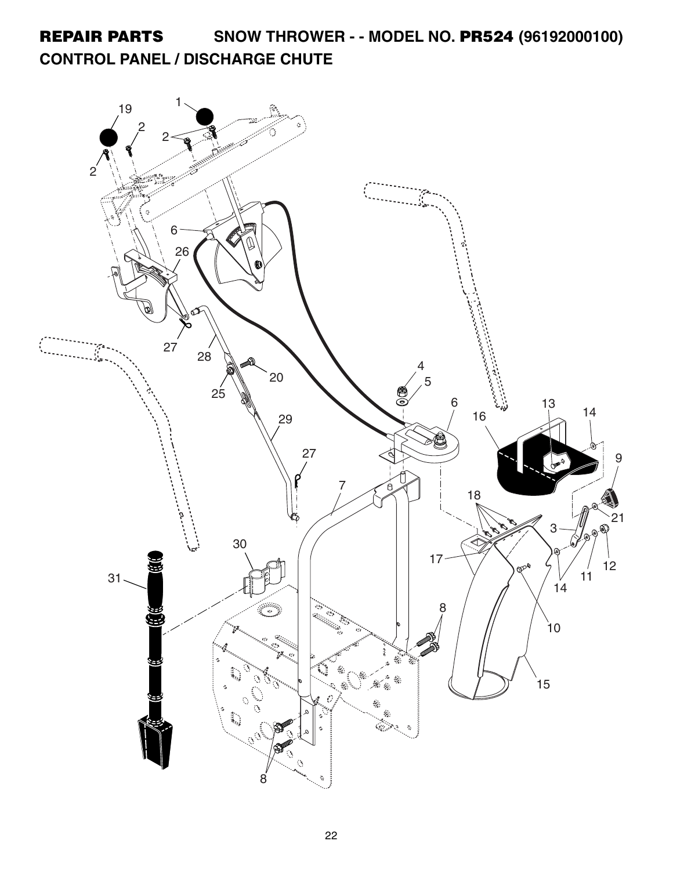**REPAIR PARTS SNOW THROWER - - MODEL NO. PR524 (96192000100) CONTROL PANEL / DISCHARGE CHUTE**

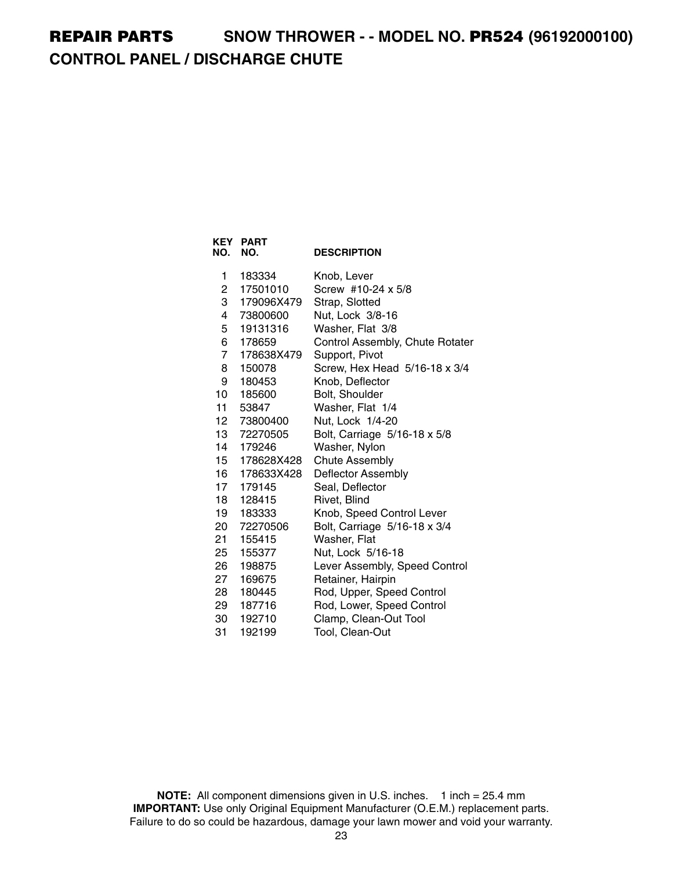### **REPAIR PARTS SNOW THROWER - - MODEL NO. PR524 (96192000100) CONTROL PANEL / DISCHARGE CHUTE**

| <b>KEY</b><br>NO. | <b>PART</b><br>NO. | <b>DESCRIPTION</b>              |
|-------------------|--------------------|---------------------------------|
| 1                 | 183334             | Knob, Lever                     |
| 2                 | 17501010           | Screw #10-24 x 5/8              |
| 3                 | 179096X479         | Strap, Slotted                  |
| 4                 | 73800600           | Nut, Lock 3/8-16                |
| 5                 | 19131316           | Washer, Flat 3/8                |
| 6                 | 178659             | Control Assembly, Chute Rotater |
| $\overline{7}$    | 178638X479         | Support, Pivot                  |
| 8                 | 150078             | Screw, Hex Head 5/16-18 x 3/4   |
| 9                 | 180453             | Knob, Deflector                 |
| 10                | 185600             | Bolt, Shoulder                  |
| 11                | 53847              | Washer, Flat 1/4                |
| 12                | 73800400           | Nut, Lock 1/4-20                |
| 13 <sup>7</sup>   | 72270505           | Bolt, Carriage 5/16-18 x 5/8    |
| 14                | 179246             | Washer, Nylon                   |
| 15                | 178628X428         | <b>Chute Assembly</b>           |
| 16                | 178633X428         | Deflector Assembly              |
| 17                | 179145             | Seal, Deflector                 |
| 18                | 128415             | Rivet, Blind                    |
| 19                | 183333             | Knob, Speed Control Lever       |
| 20                | 72270506           | Bolt, Carriage 5/16-18 x 3/4    |
| 21                | 155415             | Washer, Flat                    |
| 25                | 155377             | Nut, Lock 5/16-18               |
| 26                | 198875             | Lever Assembly, Speed Control   |
| 27                | 169675             | Retainer, Hairpin               |
| 28                | 180445             | Rod, Upper, Speed Control       |
| 29                | 187716             | Rod, Lower, Speed Control       |
| 30                | 192710             | Clamp, Clean-Out Tool           |
| 31                | 192199             | Tool, Clean-Out                 |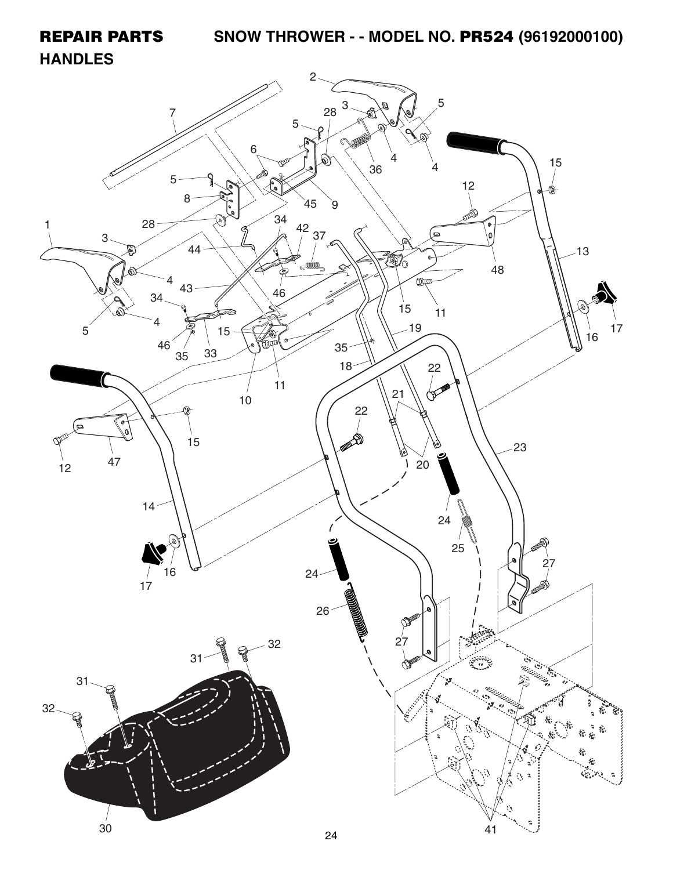# **REPAIR PARTS SNOW THROWER - - MODEL NO. PR524 (96192000100)**

#### **HANDLES**

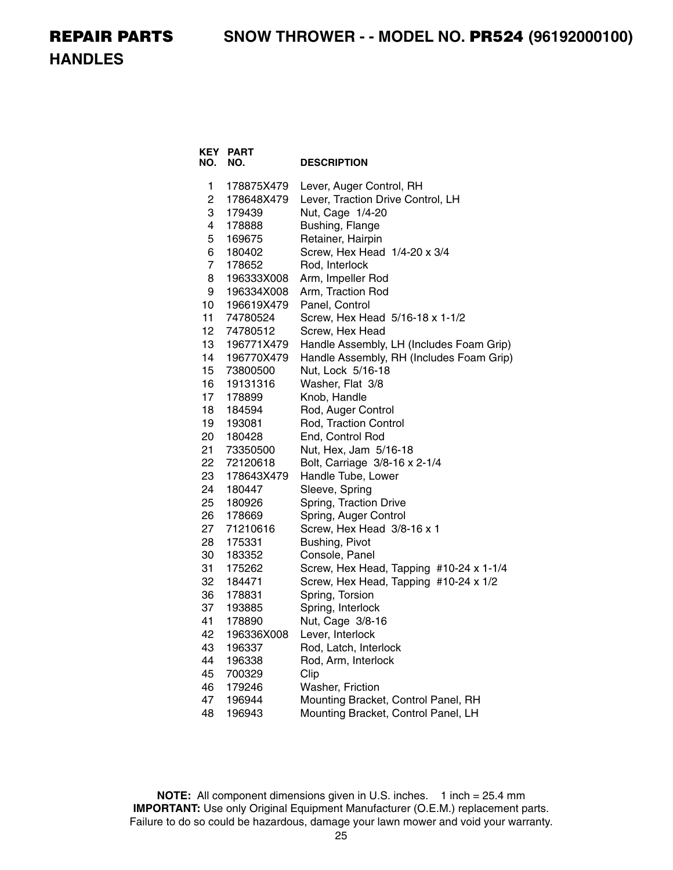**HANDLES**

| KEY<br>NO.     | <b>PART</b><br>NO. | <b>DESCRIPTION</b>                       |
|----------------|--------------------|------------------------------------------|
| 1              | 178875X479         | Lever, Auger Control, RH                 |
| $\overline{c}$ | 178648X479         | Lever, Traction Drive Control, LH        |
| 3              | 179439             | Nut, Cage 1/4-20                         |
| 4              | 178888             | Bushing, Flange                          |
| 5              | 169675             | Retainer, Hairpin                        |
| 6              | 180402             | Screw, Hex Head 1/4-20 x 3/4             |
| $\overline{7}$ | 178652             | Rod, Interlock                           |
| 8              | 196333X008         | Arm, Impeller Rod                        |
| 9              | 196334X008         | Arm, Traction Rod                        |
| 10             | 196619X479         | Panel, Control                           |
| 11             | 74780524           | Screw, Hex Head 5/16-18 x 1-1/2          |
| 12             | 74780512           | Screw, Hex Head                          |
| 13             | 196771X479         | Handle Assembly, LH (Includes Foam Grip) |
| 14             | 196770X479         | Handle Assembly, RH (Includes Foam Grip) |
| 15             | 73800500           | Nut, Lock 5/16-18                        |
| 16             | 19131316           | Washer, Flat 3/8                         |
| 17             | 178899             | Knob, Handle                             |
| 18             | 184594             | Rod, Auger Control                       |
| 19             | 193081             | Rod, Traction Control                    |
| 20             | 180428             | End, Control Rod                         |
| 21             | 73350500           | Nut, Hex, Jam 5/16-18                    |
| 22             | 72120618           | Bolt, Carriage 3/8-16 x 2-1/4            |
| 23             | 178643X479         | Handle Tube, Lower                       |
| 24             | 180447             | Sleeve, Spring                           |
| 25             | 180926             | Spring, Traction Drive                   |
| 26             | 178669             | Spring, Auger Control                    |
| 27             | 71210616           | Screw, Hex Head 3/8-16 x 1               |
| 28             | 175331             | Bushing, Pivot                           |
| 30             | 183352             | Console, Panel                           |
| 31             | 175262             | Screw, Hex Head, Tapping #10-24 x 1-1/4  |
| 32             | 184471             | Screw, Hex Head, Tapping #10-24 x 1/2    |
| 36             | 178831             | Spring, Torsion                          |
| 37             | 193885             | Spring, Interlock                        |
| 41             | 178890             | Nut, Cage 3/8-16                         |
| 42             | 196336X008         | Lever, Interlock                         |
| 43             | 196337             | Rod, Latch, Interlock                    |
| 44             | 196338             | Rod, Arm, Interlock                      |
| 45             | 700329             | Clip                                     |
| 46             | 179246             | Washer, Friction                         |
| 47             | 196944             | Mounting Bracket, Control Panel, RH      |
| 48             | 196943             | Mounting Bracket, Control Panel, LH      |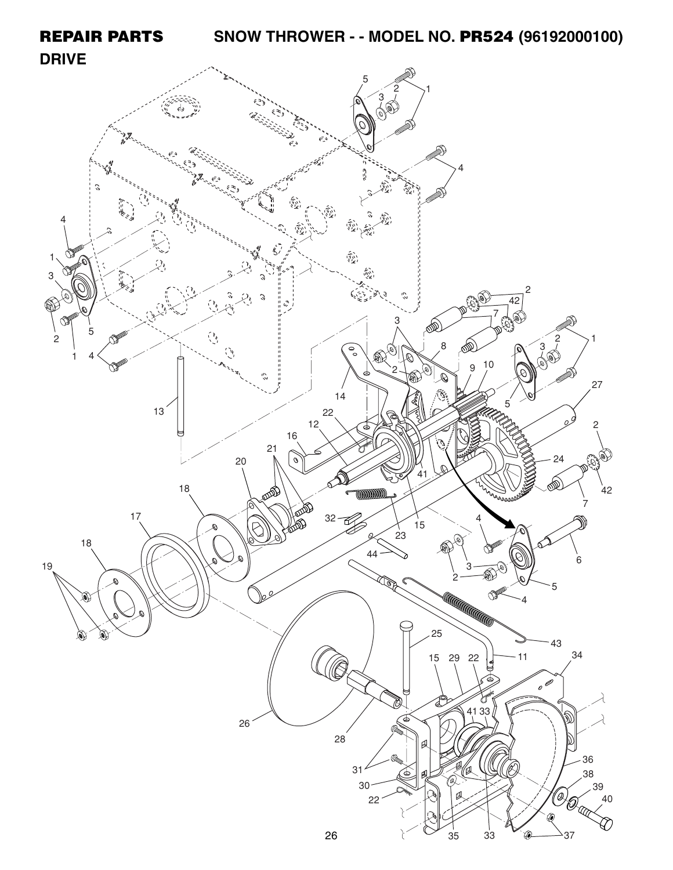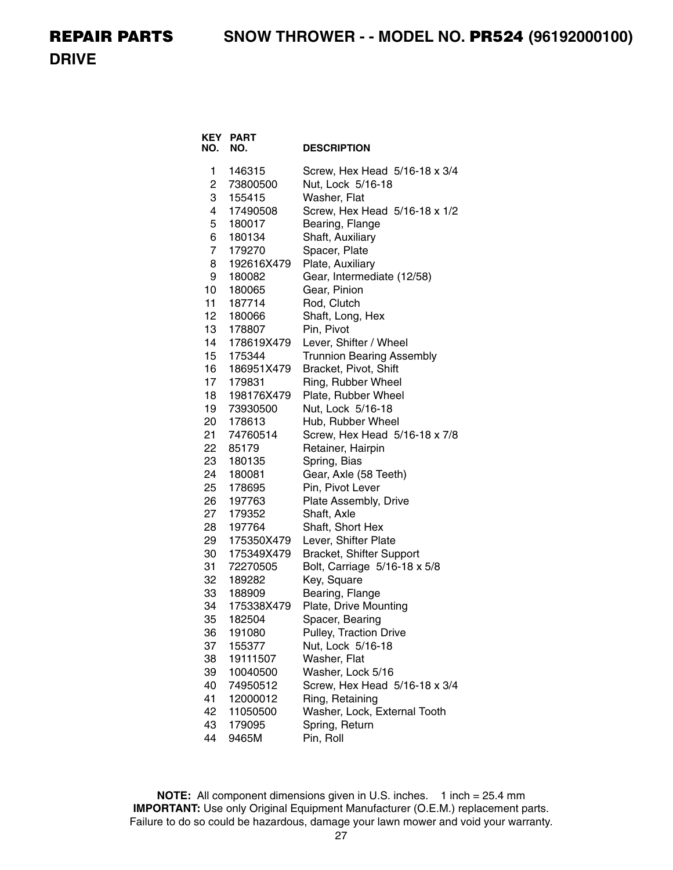**DRIVE**

| KEY<br>NO. | <b>PART</b><br>NO.   | <b>DESCRIPTION</b>                                        |
|------------|----------------------|-----------------------------------------------------------|
| 1          | 146315               | Screw, Hex Head 5/16-18 x 3/4                             |
| 2          | 73800500             | Nut, Lock 5/16-18                                         |
| 3          | 155415               | Washer, Flat                                              |
| 4          | 17490508             | Screw, Hex Head 5/16-18 x 1/2                             |
| 5          | 180017               | Bearing, Flange                                           |
| 6          | 180134               | Shaft, Auxiliary                                          |
| 7          | 179270               | Spacer, Plate                                             |
| 8          | 192616X479           | Plate, Auxiliary                                          |
| 9          | 180082               | Gear, Intermediate (12/58)                                |
| 10         | 180065               | Gear, Pinion                                              |
| 11         | 187714               | Rod, Clutch                                               |
| 12         | 180066               | Shaft, Long, Hex                                          |
| 13         | 178807               | Pin, Pivot                                                |
| 14<br>15   | 178619X479           | Lever, Shifter / Wheel                                    |
| 16         | 175344<br>186951X479 | <b>Trunnion Bearing Assembly</b><br>Bracket, Pivot, Shift |
| 17         | 179831               | Ring, Rubber Wheel                                        |
| 18         | 198176X479           | Plate, Rubber Wheel                                       |
| 19         | 73930500             | Nut, Lock 5/16-18                                         |
| 20         | 178613               | Hub, Rubber Wheel                                         |
| 21         | 74760514             | Screw, Hex Head 5/16-18 x 7/8                             |
| 22         | 85179                | Retainer, Hairpin                                         |
| 23         | 180135               | Spring, Bias                                              |
| 24         | 180081               | Gear, Axle (58 Teeth)                                     |
| 25         | 178695               | Pin, Pivot Lever                                          |
| 26         | 197763               | Plate Assembly, Drive                                     |
| 27         | 179352               | Shaft, Axle                                               |
| 28         | 197764               | Shaft, Short Hex                                          |
| 29         | 175350X479           | Lever, Shifter Plate                                      |
| 30         | 175349X479           | Bracket, Shifter Support                                  |
| 31         | 72270505             | Bolt, Carriage 5/16-18 x 5/8                              |
| 32         | 189282               | Key, Square                                               |
| 33         | 188909               | Bearing, Flange                                           |
| 34         | 175338X479           | Plate, Drive Mounting                                     |
| 35         | 182504               | Spacer, Bearing                                           |
| 36         | 191080               | <b>Pulley, Traction Drive</b>                             |
| 37         | 155377               | Nut, Lock 5/16-18                                         |
| 38         | 19111507             | Washer, Flat                                              |
| 39         | 10040500             | Washer, Lock 5/16                                         |
| 40         | 74950512             | Screw, Hex Head 5/16-18 x 3/4                             |
| 41<br>42   | 12000012             | Ring, Retaining                                           |
| 43         | 11050500<br>179095   | Washer, Lock, External Tooth<br>Spring, Return            |
| 44         |                      |                                                           |
|            | 9465M                | Pin, Roll                                                 |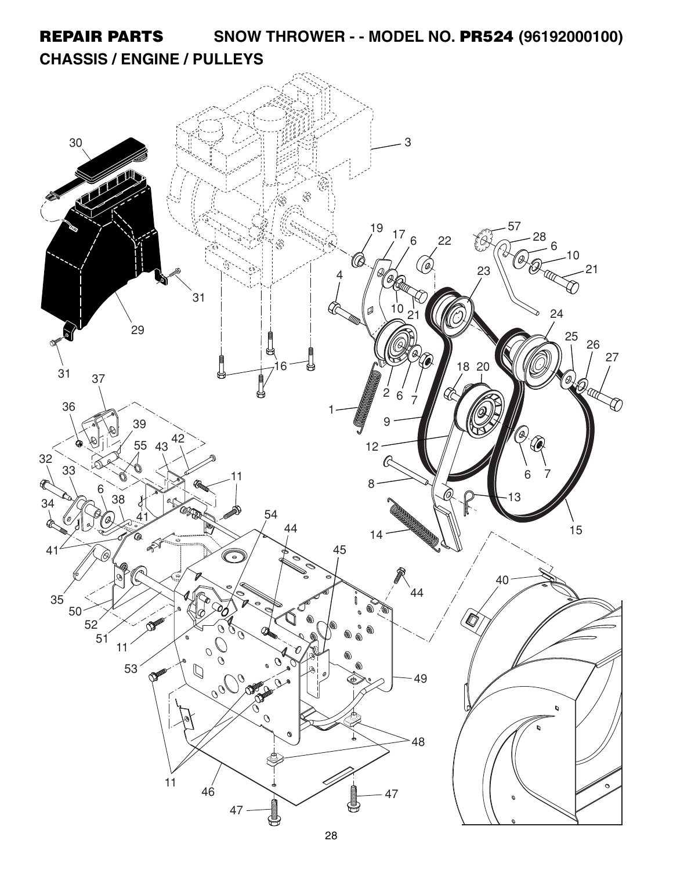**REPAIR PARTS SNOW THROWER - - MODEL NO. PR524 (96192000100) CHASSIS / ENGINE / PULLEYS**

![](_page_8_Picture_1.jpeg)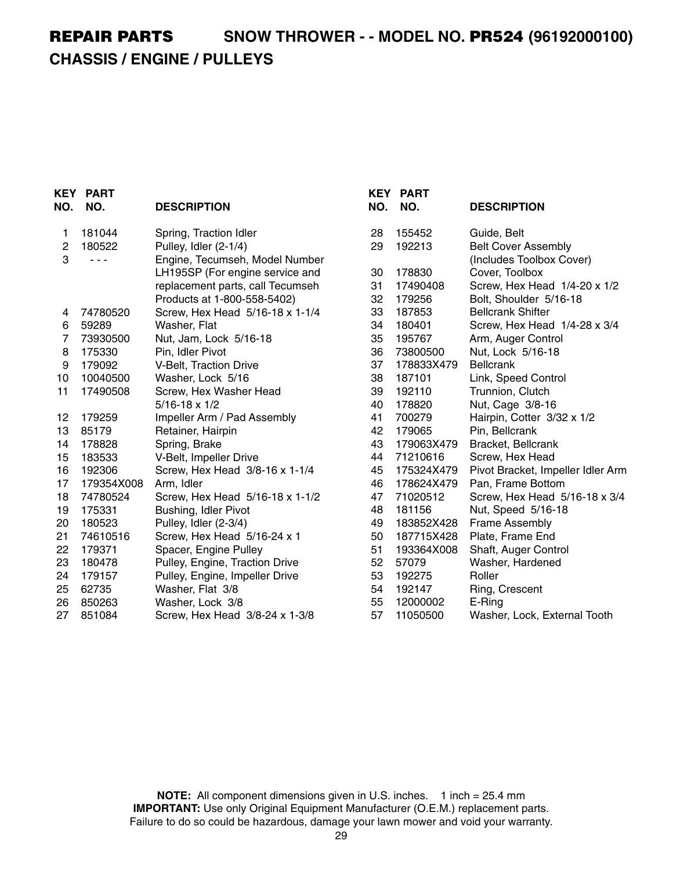# **REPAIR PARTS SNOW THROWER - - MODEL NO. PR524 (96192000100) CHASSIS / ENGINE / PULLEYS**

| NO. | <b>KEY PART</b><br>NO. | <b>DESCRIPTION</b>               | NO. | <b>KEY PART</b><br>NO. | <b>DESCRIPTION</b>                |
|-----|------------------------|----------------------------------|-----|------------------------|-----------------------------------|
| 1   | 181044                 | Spring, Traction Idler           | 28  | 155452                 | Guide, Belt                       |
| 2   | 180522                 | Pulley, Idler (2-1/4)            | 29  | 192213                 | <b>Belt Cover Assembly</b>        |
| 3   | $  -$                  | Engine, Tecumseh, Model Number   |     |                        | (Includes Toolbox Cover)          |
|     |                        | LH195SP (For engine service and  | 30  | 178830                 | Cover, Toolbox                    |
|     |                        | replacement parts, call Tecumseh | 31  | 17490408               | Screw, Hex Head 1/4-20 x 1/2      |
|     |                        | Products at 1-800-558-5402)      | 32  | 179256                 | Bolt, Shoulder 5/16-18            |
| 4   | 74780520               | Screw, Hex Head 5/16-18 x 1-1/4  | 33  | 187853                 | <b>Bellcrank Shifter</b>          |
| 6   | 59289                  | Washer, Flat                     | 34  | 180401                 | Screw, Hex Head 1/4-28 x 3/4      |
| 7   | 73930500               | Nut, Jam, Lock 5/16-18           | 35  | 195767                 | Arm, Auger Control                |
| 8   | 175330                 | Pin, Idler Pivot                 | 36  | 73800500               | Nut, Lock 5/16-18                 |
| 9   | 179092                 | V-Belt, Traction Drive           | 37  | 178833X479             | <b>Bellcrank</b>                  |
| 10  | 10040500               | Washer, Lock 5/16                | 38  | 187101                 | Link, Speed Control               |
| 11  | 17490508               | Screw, Hex Washer Head           | 39  | 192110                 | Trunnion, Clutch                  |
|     |                        | $5/16 - 18 \times 1/2$           | 40  | 178820                 | Nut, Cage 3/8-16                  |
| 12  | 179259                 | Impeller Arm / Pad Assembly      | 41  | 700279                 | Hairpin, Cotter 3/32 x 1/2        |
| 13  | 85179                  | Retainer, Hairpin                | 42  | 179065                 | Pin, Bellcrank                    |
| 14  | 178828                 | Spring, Brake                    | 43  | 179063X479             | Bracket, Bellcrank                |
| 15  | 183533                 | V-Belt, Impeller Drive           | 44  | 71210616               | Screw, Hex Head                   |
| 16  | 192306                 | Screw, Hex Head 3/8-16 x 1-1/4   | 45  | 175324X479             | Pivot Bracket, Impeller Idler Arm |
| 17  | 179354X008             | Arm, Idler                       | 46  | 178624X479             | Pan, Frame Bottom                 |
| 18  | 74780524               | Screw, Hex Head 5/16-18 x 1-1/2  | 47  | 71020512               | Screw, Hex Head 5/16-18 x 3/4     |
| 19  | 175331                 | Bushing, Idler Pivot             | 48  | 181156                 | Nut, Speed 5/16-18                |
| 20  | 180523                 | Pulley, Idler (2-3/4)            | 49  | 183852X428             | Frame Assembly                    |
| 21  | 74610516               | Screw, Hex Head 5/16-24 x 1      | 50  | 187715X428             | Plate, Frame End                  |
| 22  | 179371                 | Spacer, Engine Pulley            | 51  | 193364X008             | Shaft, Auger Control              |
| 23  | 180478                 | Pulley, Engine, Traction Drive   | 52  | 57079                  | Washer, Hardened                  |
| 24  | 179157                 | Pulley, Engine, Impeller Drive   | 53  | 192275                 | Roller                            |
| 25  | 62735                  | Washer, Flat 3/8                 | 54  | 192147                 | Ring, Crescent                    |
| 26  | 850263                 | Washer, Lock 3/8                 | 55  | 12000002               | E-Ring                            |
| 27  | 851084                 | Screw, Hex Head 3/8-24 x 1-3/8   | 57  | 11050500               | Washer, Lock, External Tooth      |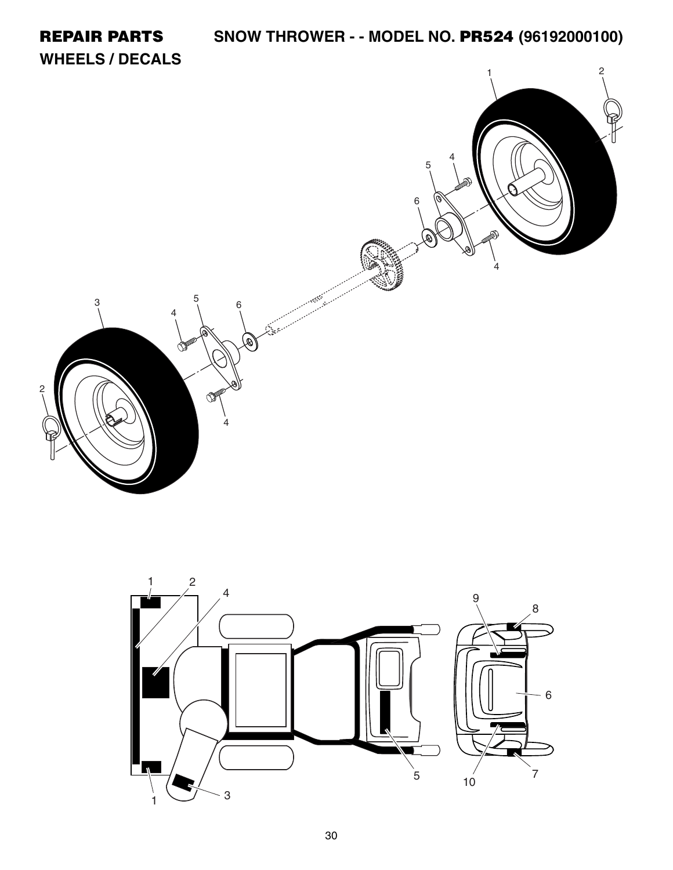![](_page_10_Picture_0.jpeg)

![](_page_10_Figure_1.jpeg)